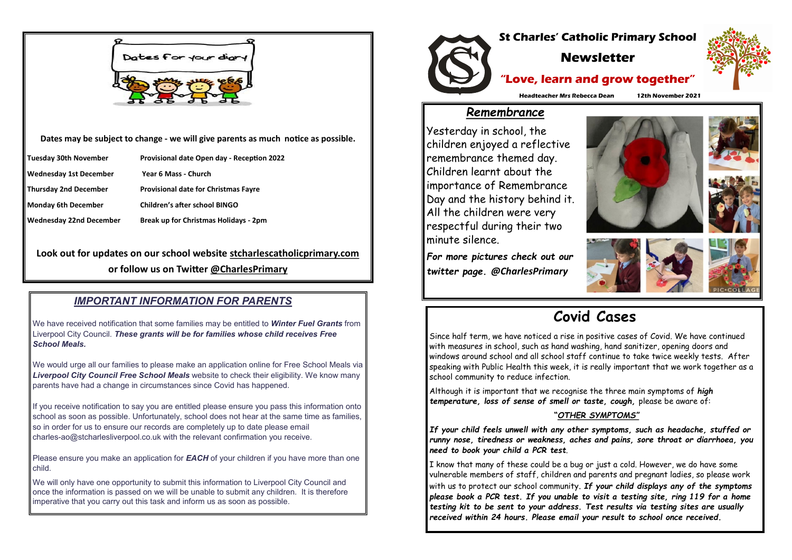

**Dates may be subject to change - we will give parents as much notice as possible.**

| Tuesday 30th November  | Provisional date Open day - Reception 2022  |
|------------------------|---------------------------------------------|
| Wednesday 1st December | Year 6 Mass - Church                        |
| Thursday 2nd December  | <b>Provisional date for Christmas Fayre</b> |

**Monday 6th December Children's after school BINGO**

**Wednesday 22nd December Break up for Christmas Holidays - 2pm**

**Look out for updates on our school website stcharlescatholicprimary.com or follow us on Twitter @CharlesPrimary**

## *IMPORTANT INFORMATION FOR PARENTS*

We have received notification that some families may be entitled to *Winter Fuel Grants* from Liverpool City Council. *These grants will be for families whose child receives Free School Meals.*

Please ensure you make an application for **EACH** of your children if you have more than one child.

We would urge all our families to please make an application online for Free School Meals via *Liverpool City Council Free School Meals* website to check their eligibility. We know many parents have had a change in circumstances since Covid has happened.

We will only have one opportunity to submit this information to Liverpool City Council and once the information is passed on we will be unable to submit any children. It is therefore imperative that you carry out this task and inform us as soon as possible.

If you receive notification to say you are entitled please ensure you pass this information onto school as soon as possible. Unfortunately, school does not hear at the same time as families, so in order for us to ensure our records are completely up to date please email charles-ao@stcharlesliverpool.co.uk with the relevant confirmation you receive.

# **St Charles' Catholic Primary School Newsletter "Love, learn and grow together" Headteacher Mrs Rebecca Dean 12th November 2021**

## *Remembrance*

Yesterday in school, the children enjoyed a reflective remembrance themed day. Children learnt about the importance of Remembrance Day and the history behind it. All the children were very respectful during their two minute silence.



*For more pictures check out our twitter page. @CharlesPrimary*

# **Covid Cases**

Since half term, we have noticed a rise in positive cases of Covid. We have continued with measures in school, such as hand washing, hand sanitizer, opening doors and windows around school and all school staff continue to take twice weekly tests. After speaking with Public Health this week, it is really important that we work together as a school community to reduce infection.

Although it is important that we recognise the three main symptoms of *high temperature, loss of sense of smell or taste, cough,* please be aware of:

#### **"***OTHER SYMPTOMS"*

*If your child feels unwell with any other symptoms, such as headache, stuffed or runny nose, tiredness or weakness, aches and pains, sore throat or diarrhoea, you need to book your child a PCR test*.

I know that many of these could be a bug or just a cold. However, we do have some vulnerable members of staff, children and parents and pregnant ladies, so please work with us to protect our school community. *If your child displays any of the symptoms please book a PCR test. If you unable to visit a testing site, ring 119 for a home testing kit to be sent to your address. Test results via testing sites are usually received within 24 hours. Please email your result to school once received.*